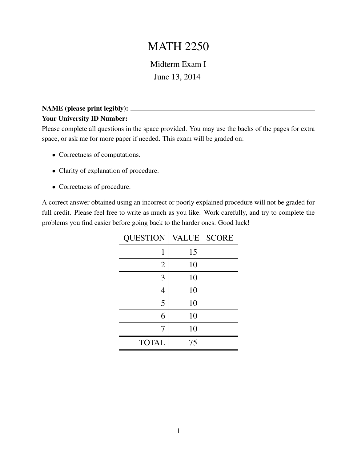## MATH 2250

Midterm Exam I June 13, 2014

## NAME (please print legibly): Your University ID Number:

Please complete all questions in the space provided. You may use the backs of the pages for extra space, or ask me for more paper if needed. This exam will be graded on:

- Correctness of computations.
- Clarity of explanation of procedure.
- Correctness of procedure.

A correct answer obtained using an incorrect or poorly explained procedure will not be graded for full credit. Please feel free to write as much as you like. Work carefully, and try to complete the problems you find easier before going back to the harder ones. Good luck!

| <b>QUESTION</b> | <b>VALUE</b> | <b>SCORE</b> |
|-----------------|--------------|--------------|
| 1               | 15           |              |
| $\overline{2}$  | 10           |              |
| 3               | 10           |              |
| 4               | 10           |              |
| 5               | 10           |              |
| 6               | 10           |              |
| 7               | 10           |              |
| <b>TOTAL</b>    | 75           |              |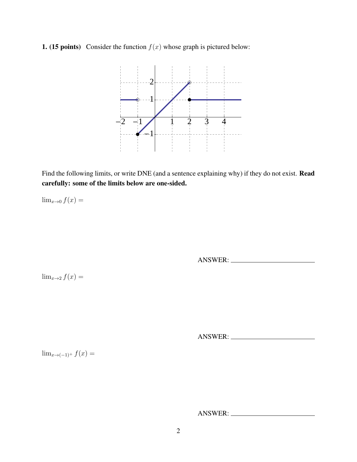1. (15 points) Consider the function  $f(x)$  whose graph is pictured below:



Find the following limits, or write DNE (and a sentence explaining why) if they do not exist. **Read** carefully: some of the limits below are one-sided.

 $\lim_{x\to 0} f(x) =$ 

ANSWER:

 $\lim_{x\to 2} f(x) =$ 

ANSWER:

 $\lim_{x\to(-1)^+} f(x) =$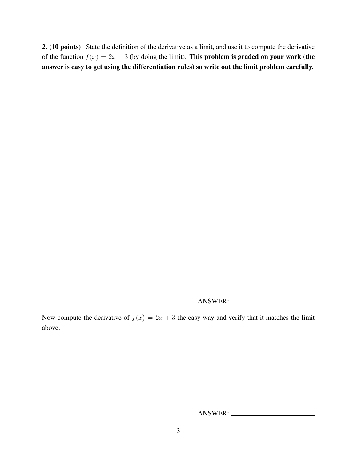2. (10 points) State the definition of the derivative as a limit, and use it to compute the derivative of the function  $f(x) = 2x + 3$  (by doing the limit). This problem is graded on your work (the answer is easy to get using the differentiation rules) so write out the limit problem carefully.

ANSWER:

Now compute the derivative of  $f(x) = 2x + 3$  the easy way and verify that it matches the limit above.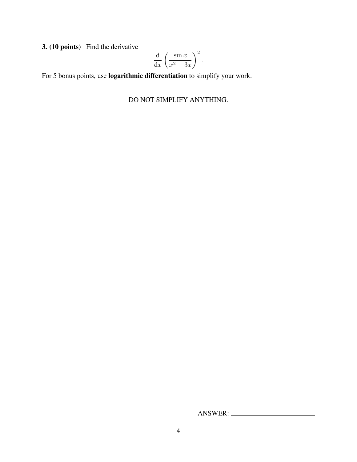3. (10 points) Find the derivative

$$
\frac{\mathrm{d}}{\mathrm{d}x} \left( \frac{\sin x}{x^2 + 3x} \right)^2.
$$

For 5 bonus points, use logarithmic differentiation to simplify your work.

## DO NOT SIMPLIFY ANYTHING.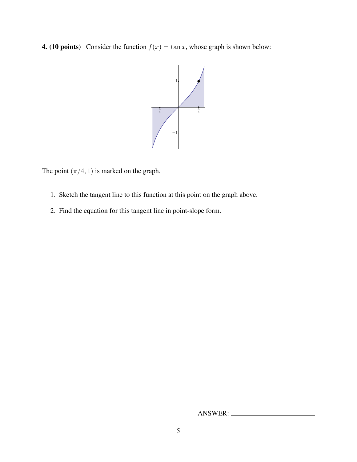**4.** (10 points) Consider the function  $f(x) = \tan x$ , whose graph is shown below:



The point  $(\pi/4, 1)$  is marked on the graph.

- 1. Sketch the tangent line to this function at this point on the graph above.
- 2. Find the equation for this tangent line in point-slope form.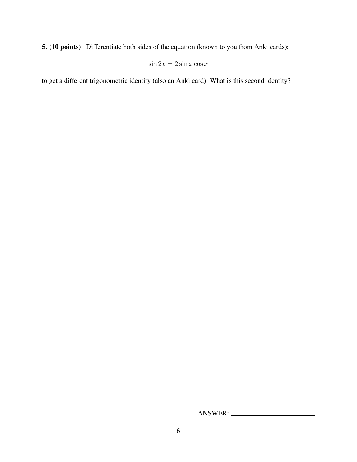5. (10 points) Differentiate both sides of the equation (known to you from Anki cards):

$$
\sin 2x = 2\sin x \cos x
$$

to get a different trigonometric identity (also an Anki card). What is this second identity?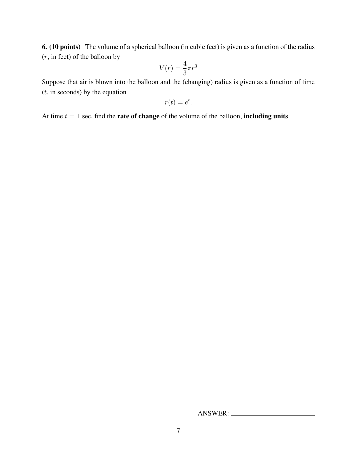6. (10 points) The volume of a spherical balloon (in cubic feet) is given as a function of the radius  $(r, \text{in feet})$  of the balloon by

$$
V(r) = \frac{4}{3}\pi r^3
$$

Suppose that air is blown into the balloon and the (changing) radius is given as a function of time  $(t, \text{in seconds})$  by the equation

$$
r(t) = e^t.
$$

At time  $t = 1$  sec, find the **rate of change** of the volume of the balloon, **including units**.